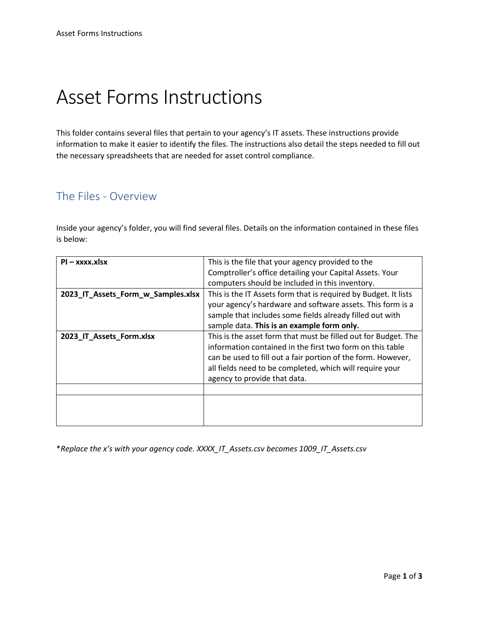# Asset Forms Instructions

This folder contains several files that pertain to your agency's IT assets. These instructions provide information to make it easier to identify the files. The instructions also detail the steps needed to fill out the necessary spreadsheets that are needed for asset control compliance.

#### The Files - Overview

Inside your agency's folder, you will find several files. Details on the information contained in these files is below:

| $PI - XXXX.K$                      | This is the file that your agency provided to the               |
|------------------------------------|-----------------------------------------------------------------|
|                                    | Comptroller's office detailing your Capital Assets. Your        |
|                                    | computers should be included in this inventory.                 |
| 2023_IT_Assets_Form_w_Samples.xlsx | This is the IT Assets form that is required by Budget. It lists |
|                                    | your agency's hardware and software assets. This form is a      |
|                                    | sample that includes some fields already filled out with        |
|                                    | sample data. This is an example form only.                      |
| 2023 IT Assets Form.xlsx           | This is the asset form that must be filled out for Budget. The  |
|                                    | information contained in the first two form on this table       |
|                                    | can be used to fill out a fair portion of the form. However,    |
|                                    | all fields need to be completed, which will require your        |
|                                    | agency to provide that data.                                    |
|                                    |                                                                 |
|                                    |                                                                 |
|                                    |                                                                 |
|                                    |                                                                 |

\**Replace the x's with your agency code. XXXX\_IT\_Assets.csv becomes 1009\_IT\_Assets.csv*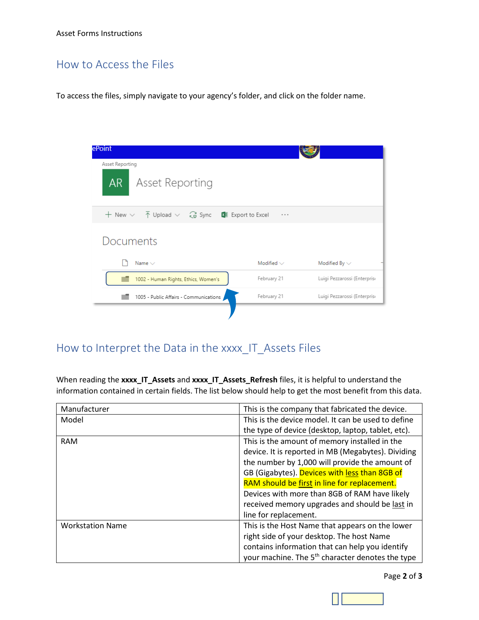## How to Access the Files

To access the files, simply navigate to your agency's folder, and click on the folder name.

| ePoint<br>Asset Reporting                                                                                                 |                 |                              |
|---------------------------------------------------------------------------------------------------------------------------|-----------------|------------------------------|
| AR<br>Asset Reporting                                                                                                     |                 |                              |
| $+$ New $\vee$ $ \overline{\uparrow}$ Upload $\vee$ $\overline{\mathcal{C}}$ Sync $\overline{\mathbb{M}}$ Export to Excel | .               |                              |
| Documents                                                                                                                 |                 |                              |
| Name $\vee$                                                                                                               | Modified $\vee$ | Modified By $\vee$           |
| 1002 - Human Rights, Ethics, Women's                                                                                      | February 21     | Luigi Pezzarossi (Enterprise |
| 1005 - Public Affairs - Communications                                                                                    | February 21     | Luigi Pezzarossi (Enterprise |
|                                                                                                                           |                 |                              |

## How to Interpret the Data in the xxxx\_IT\_Assets Files

When reading the **xxxx\_IT\_Assets** and **xxxx\_IT\_Assets\_Refresh** files, it is helpful to understand the information contained in certain fields. The list below should help to get the most benefit from this data.

| Manufacturer            | This is the company that fabricated the device.              |
|-------------------------|--------------------------------------------------------------|
| Model                   | This is the device model. It can be used to define           |
|                         | the type of device (desktop, laptop, tablet, etc).           |
| <b>RAM</b>              | This is the amount of memory installed in the                |
|                         | device. It is reported in MB (Megabytes). Dividing           |
|                         | the number by 1,000 will provide the amount of               |
|                         | GB (Gigabytes). Devices with less than 8GB of                |
|                         | RAM should be first in line for replacement.                 |
|                         | Devices with more than 8GB of RAM have likely                |
|                         | received memory upgrades and should be last in               |
|                         | line for replacement.                                        |
| <b>Workstation Name</b> | This is the Host Name that appears on the lower              |
|                         | right side of your desktop. The host Name                    |
|                         | contains information that can help you identify              |
|                         | your machine. The 5 <sup>th</sup> character denotes the type |